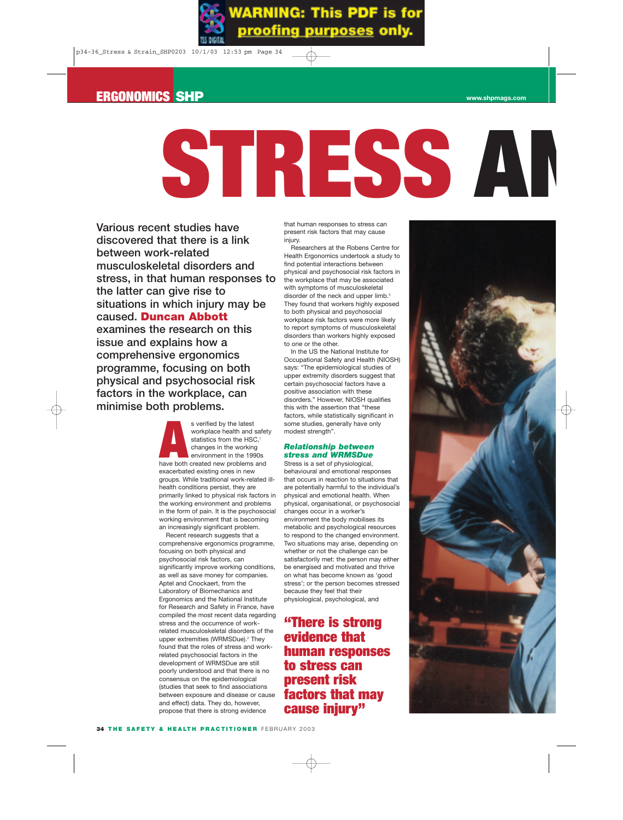# **ERGONOMICS SHP www.shpmags.com**



**Various recent studies have discovered that there is a link between work-related musculoskeletal disorders and stress, in that human responses to the latter can give rise to situations in which injury may be caused. Duncan Abbott examines the research on this issue and explains how a comprehensive ergonomics programme, focusing on both physical and psychosocial risk factors in the workplace, can minimise both problems.**

> s verified by the latest<br>
> workplace health and safe<br>
> statistics from the HSC,<sup>1</sup><br>
> changes in the working<br>
> environment in the 1990s<br>
> have both created new problems and workplace health and safety statistics from the HSC,<sup>1</sup> changes in the working environment in the 1990s exacerbated existing ones in new groups. While traditional work-related illhealth conditions persist, they are primarily linked to physical risk factors in the working environment and problems in the form of pain. It is the psychosocial working environment that is becoming an increasingly significant problem.

Recent research suggests that a comprehensive ergonomics programme, focusing on both physical and psychosocial risk factors, can significantly improve working conditions, as well as save money for companies. Aptel and Cnockaert, from the Laboratory of Biomechanics and Ergonomics and the National Institute for Research and Safety in France, have compiled the most recent data regarding stress and the occurrence of workrelated musculoskeletal disorders of the upper extremities (WRMSDue).<sup>2</sup> They found that the roles of stress and workrelated psychosocial factors in the development of WRMSDue are still poorly understood and that there is no consensus on the epidemiological (studies that seek to find associations between exposure and disease or cause and effect) data. They do, however, propose that there is strong evidence

that human responses to stress can present risk factors that may cause injury.

Researchers at the Robens Centre for Health Ergonomics undertook a study to find potential interactions between physical and psychosocial risk factors in the workplace that may be associated with symptoms of musculoskeletal disorder of the neck and upper limb.<sup>3</sup> They found that workers highly exposed to both physical and psychosocial workplace risk factors were more likely to report symptoms of musculoskeletal disorders than workers highly exposed to one or the other.

In the US the National Institute for Occupational Safety and Health (NIOSH) says: "The epidemiological studies of upper extremity disorders suggest that certain psychosocial factors have a positive association with these disorders." However, NIOSH qualifies this with the assertion that "these factors, while statistically significant in some studies, generally have only modest strength".

# *Relationship between stress and WRMSDue*

Stress is a set of physiological, behavioural and emotional responses that occurs in reaction to situations that are potentially harmful to the individual's physical and emotional health. When physical, organisational, or psychosocial changes occur in a worker's environment the body mobilises its metabolic and psychological resources to respond to the changed environment. Two situations may arise, depending on whether or not the challenge can be satisfactorily met: the person may either be energised and motivated and thrive on what has become known as 'good stress'; or the person becomes stressed because they feel that their physiological, psychological, and

**"There is strong evidence that human responses to stress can present risk factors that may cause injury"**

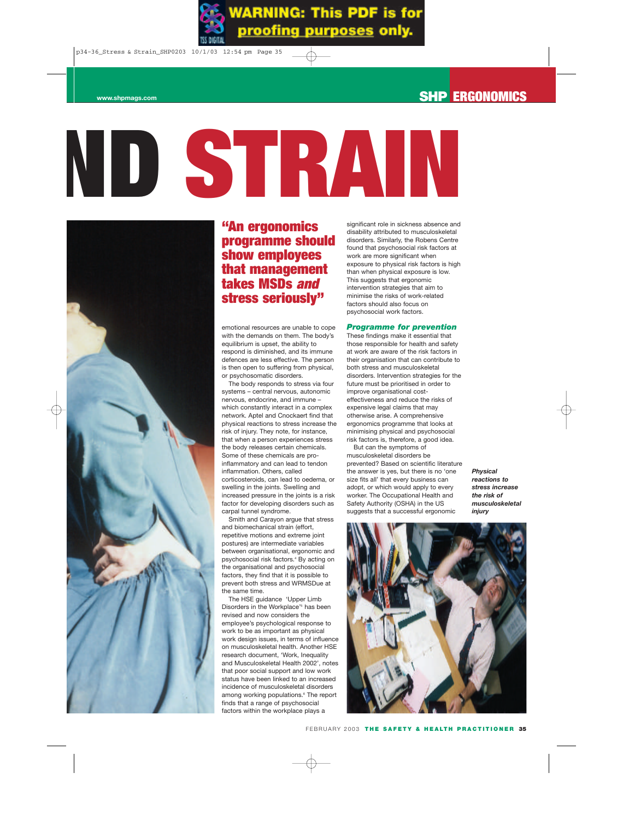# **ND STRAIN**



# **"An ergonomics programme should show employees that management takes MSDs** *and* **stress seriously"**

emotional resources are unable to cope with the demands on them. The body's equilibrium is upset, the ability to respond is diminished, and its immune defences are less effective. The person is then open to suffering from physical, or psychosomatic disorders.

The body responds to stress via four systems – central nervous, autonomic nervous, endocrine, and immune – which constantly interact in a complex network. Aptel and Cnockaert find that physical reactions to stress increase the risk of injury. They note, for instance, that when a person experiences stress the body releases certain chemicals. Some of these chemicals are proinflammatory and can lead to tendon inflammation. Others, called corticosteroids, can lead to oedema, or swelling in the joints. Swelling and increased pressure in the joints is a risk factor for developing disorders such as carpal tunnel syndrome.

Smith and Carayon argue that stress and biomechanical strain (effort, repetitive motions and extreme joint postures) are intermediate variables between organisational, ergonomic and psychosocial risk factors.4 By acting on the organisational and psychosocial factors, they find that it is possible to prevent both stress and WRMSDue at the same time.

The HSE guidance 'Upper Limb Disorders in the Workplace'5 has been revised and now considers the employee's psychological response to work to be as important as physical work design issues, in terms of influence on musculoskeletal health. Another HSE research document, 'Work, Inequality and Musculoskeletal Health 2002', notes that poor social support and low work status have been linked to an increased incidence of musculoskeletal disorders among working populations.<sup>6</sup> The report finds that a range of psychosocial factors within the workplace plays a

significant role in sickness absence and disability attributed to musculoskeletal disorders. Similarly, the Robens Centre found that psychosocial risk factors at work are more significant when exposure to physical risk factors is high than when physical exposure is low. This suggests that ergonomic intervention strategies that aim to minimise the risks of work-related factors should also focus on psychosocial work factors.

# *Programme for prevention*

These findings make it essential that those responsible for health and safety at work are aware of the risk factors in their organisation that can contribute to both stress and musculoskeletal disorders. Intervention strategies for the future must be prioritised in order to improve organisational costeffectiveness and reduce the risks of expensive legal claims that may otherwise arise. A comprehensive ergonomics programme that looks at minimising physical and psychosocial risk factors is, therefore, a good idea.

But can the symptoms of musculoskeletal disorders be prevented? Based on scientific literature the answer is yes, but there is no 'one size fits all' that every business can adopt, or which would apply to every worker. The Occupational Health and Safety Authority (OSHA) in the US suggests that a successful ergonomic

*Physical reactions to stress increase the risk of musculoskeletal injury*